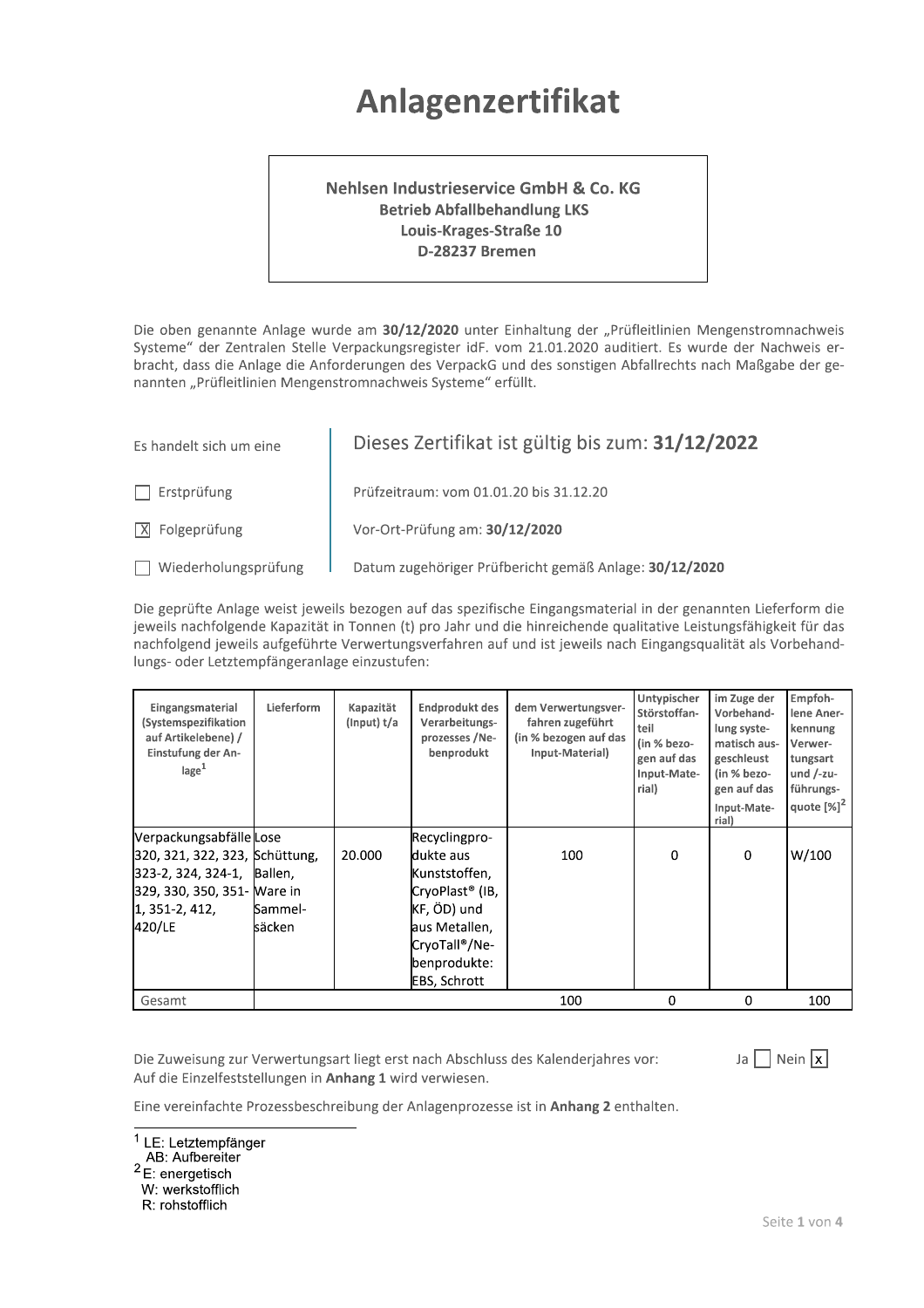## Anlagenzertifikat

## Nehlsen Industrieservice GmbH & Co. KG **Betrieb Abfallbehandlung LKS** Louis-Krages-Straße 10 D-28237 Bremen

Die oben genannte Anlage wurde am 30/12/2020 unter Einhaltung der "Prüfleitlinien Mengenstromnachweis Systeme" der Zentralen Stelle Verpackungsregister idF. vom 21.01.2020 auditiert. Es wurde der Nachweis erbracht, dass die Anlage die Anforderungen des VerpackG und des sonstigen Abfallrechts nach Maßgabe der genannten "Prüfleitlinien Mengenstromnachweis Systeme" erfüllt.

| Es handelt sich um eine       | Dieses Zertifikat ist gültig bis zum: 31/12/2022       |
|-------------------------------|--------------------------------------------------------|
| Erstprüfung                   | Prüfzeitraum: vom 01.01.20 bis 31.12.20                |
| $ \overline{X} $ Folgeprüfung | Vor-Ort-Prüfung am: 30/12/2020                         |
| Wiederholungsprüfung          | Datum zugehöriger Prüfbericht gemäß Anlage: 30/12/2020 |

Die geprüfte Anlage weist jeweils bezogen auf das spezifische Eingangsmaterial in der genannten Lieferform die jeweils nachfolgende Kapazität in Tonnen (t) pro Jahr und die hinreichende qualitative Leistungsfähigkeit für das nachfolgend jeweils aufgeführte Verwertungsverfahren auf und ist jeweils nach Eingangsqualität als Vorbehandlungs- oder Letztempfängeranlage einzustufen:

| Eingangsmaterial<br>(Systemspezifikation<br>auf Artikelebene) /<br>Einstufung der An-<br>$\text{lage}^1$ | Lieferform | Kapazität<br>(Input) t/a | Endprodukt des<br>Verarbeitungs-<br>prozesses /Ne-<br>benprodukt | dem Verwertungsver-<br>fahren zugeführt<br>(in % bezogen auf das<br>Input-Material) | Untypischer<br>Störstoffan-<br>teil<br>(in % bezo-<br>gen auf das<br>Input-Mate-<br>rial) | im Zuge der<br>Vorbehand-<br>lung syste-<br>matisch aus-<br>geschleust<br>(in % bezo-<br>gen auf das<br>Input-Mate-<br>rial) | Empfoh-<br>lene Aner-<br>kennung<br>Verwer-<br>tungsart<br>und $/$ -zu-<br>führungs-<br>quote $[%]$ <sup>2</sup> |
|----------------------------------------------------------------------------------------------------------|------------|--------------------------|------------------------------------------------------------------|-------------------------------------------------------------------------------------|-------------------------------------------------------------------------------------------|------------------------------------------------------------------------------------------------------------------------------|------------------------------------------------------------------------------------------------------------------|
| Verpackungsabfälle Lose                                                                                  |            |                          | Recyclingpro-                                                    |                                                                                     |                                                                                           |                                                                                                                              |                                                                                                                  |
| 320, 321, 322, 323, Schüttung,                                                                           |            | 20.000                   | dukte aus                                                        | 100                                                                                 | 0                                                                                         | $\Omega$                                                                                                                     | W/100                                                                                                            |
| 323-2, 324, 324-1, Ballen,                                                                               |            |                          | Kunststoffen,                                                    |                                                                                     |                                                                                           |                                                                                                                              |                                                                                                                  |
| 329, 330, 350, 351- Ware in                                                                              |            |                          | CryoPlast® (IB,                                                  |                                                                                     |                                                                                           |                                                                                                                              |                                                                                                                  |
| 1, 351-2, 412,                                                                                           | Sammel-    |                          | KF, ÖD) und                                                      |                                                                                     |                                                                                           |                                                                                                                              |                                                                                                                  |
| 420/LE                                                                                                   | säcken     |                          | aus Metallen,                                                    |                                                                                     |                                                                                           |                                                                                                                              |                                                                                                                  |
|                                                                                                          |            |                          | CryoTall®/Ne-                                                    |                                                                                     |                                                                                           |                                                                                                                              |                                                                                                                  |
|                                                                                                          |            |                          | benprodukte:                                                     |                                                                                     |                                                                                           |                                                                                                                              |                                                                                                                  |
|                                                                                                          |            |                          | EBS, Schrott                                                     |                                                                                     |                                                                                           |                                                                                                                              |                                                                                                                  |
| Gesamt                                                                                                   |            |                          |                                                                  | 100                                                                                 | 0                                                                                         | 0                                                                                                                            | 100                                                                                                              |

Die Zuweisung zur Verwertungsart liegt erst nach Abschluss des Kalenderjahres vor: Auf die Einzelfeststellungen in Anhang 1 wird verwiesen.

Ja  $\Box$  Nein  $\overline{x}$ 

Eine vereinfachte Prozessbeschreibung der Anlagenprozesse ist in Anhang 2 enthalten.

<sup>1</sup> LE: Letztempfänger

- AB: Aufbereiter
- $2E$ : energetisch

W: werkstofflich

R: rohstofflich